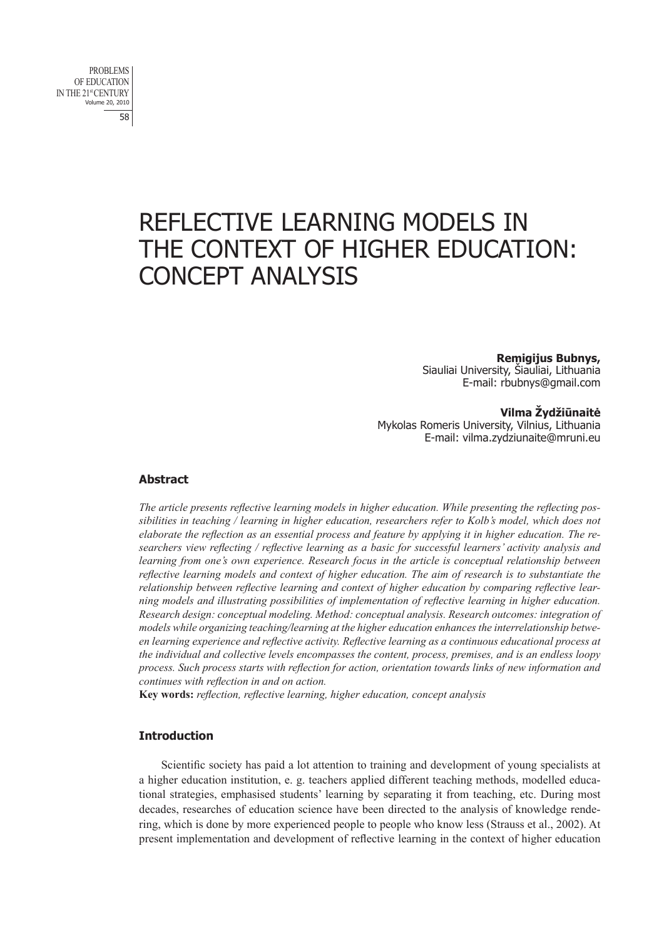# REFLECTIVE LEARNING MODELS IN THE CONTEXT OF HIGHER EDUCATION: CONCEPT ANALYSIS

**Remigijus Bubnys,** Siauliai University, Šiauliai, Lithuania E-mail: rbubnys@gmail.com

**Vilma Žydžiūnaitė** Mykolas Romeris University, Vilnius, Lithuania E-mail: vilma.zydziunaite@mruni.eu

# **Abstract**

*The article presents reflective learning models in higher education. While presenting the reflecting possibilities in teaching / learning in higher education, researchers refer to Kolb's model, which does not elaborate the reflection as an essential process and feature by applying it in higher education. The researchers view reflecting / reflective learning as a basic for successful learners' activity analysis and learning from one's own experience. Research focus in the article is conceptual relationship between reflective learning models and context of higher education. The aim of research is to substantiate the relationship between reflective learning and context of higher education by comparing reflective learning models and illustrating possibilities of implementation of reflective learning in higher education. Research design: conceptual modeling. Method: conceptual analysis. Research outcomes: integration of models while organizing teaching/learning at the higher education enhances the interrelationship between learning experience and reflective activity. Reflective learning as a continuous educational process at the individual and collective levels encompasses the content, process, premises, and is an endless loopy process. Such process starts with reflection for action, orientation towards links of new information and continues with reflection in and on action.*

**Key words:** *reflection, reflective learning, higher education, concept analysis*

# **Introduction**

Scientific society has paid a lot attention to training and development of young specialists at a higher education institution, e. g. teachers applied different teaching methods, modelled educational strategies, emphasised students' learning by separating it from teaching, etc. During most decades, researches of education science have been directed to the analysis of knowledge rendering, which is done by more experienced people to people who know less (Strauss et al., 2002). At present implementation and development of reflective learning in the context of higher education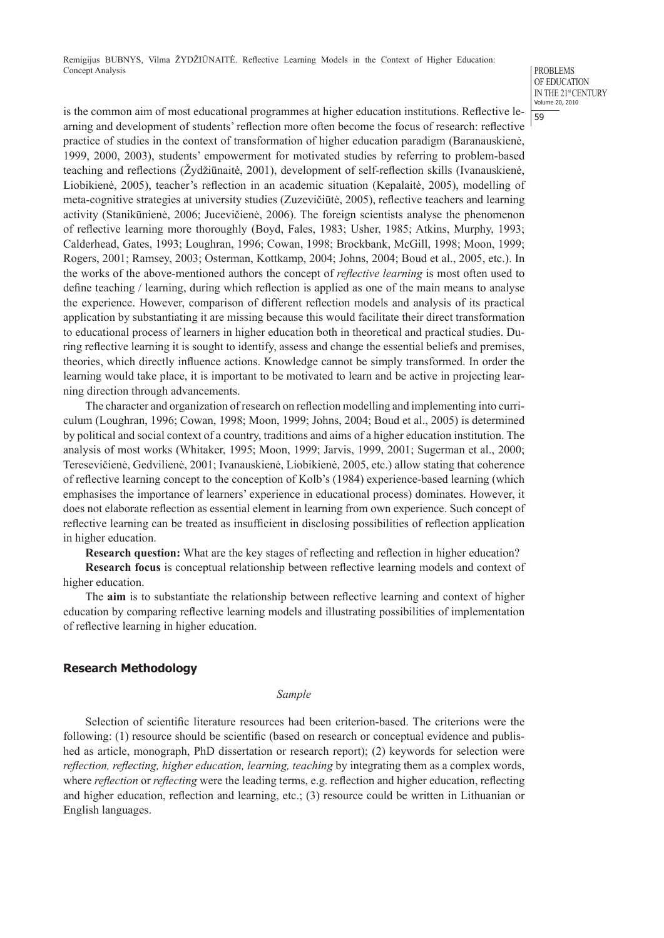#### PROBLEMS OF EDUCATION IN THE 21st CENTURY Volume 20, 2010

59

is the common aim of most educational programmes at higher education institutions. Reflective learning and development of students' reflection more often become the focus of research: reflective practice of studies in the context of transformation of higher education paradigm (Baranauskienė, 1999, 2000, 2003), students' empowerment for motivated studies by referring to problem-based teaching and reflections (Žydžiūnaitė, 2001), development of self-reflection skills (Ivanauskienė, Liobikienė, 2005), teacher's reflection in an academic situation (Kepalaitė, 2005), modelling of meta-cognitive strategies at university studies (Zuzevičiūtė, 2005), reflective teachers and learning activity (Stanikūnienė, 2006; Jucevičienė, 2006). The foreign scientists analyse the phenomenon of reflective learning more thoroughly (Boyd, Fales, 1983; Usher, 1985; Atkins, Murphy, 1993; Calderhead, Gates, 1993; Loughran, 1996; Cowan, 1998; Brockbank, McGill, 1998; Moon, 1999; Rogers, 2001; Ramsey, 2003; Osterman, Kottkamp, 2004; Johns, 2004; Boud et al., 2005, etc.). In the works of the above-mentioned authors the concept of *reflective learning* is most often used to define teaching / learning, during which reflection is applied as one of the main means to analyse the experience. However, comparison of different reflection models and analysis of its practical application by substantiating it are missing because this would facilitate their direct transformation to educational process of learners in higher education both in theoretical and practical studies. During reflective learning it is sought to identify, assess and change the essential beliefs and premises, theories, which directly influence actions. Knowledge cannot be simply transformed. In order the learning would take place, it is important to be motivated to learn and be active in projecting learning direction through advancements.

The character and organization of research on reflection modelling and implementing into curriculum (Loughran, 1996; Cowan, 1998; Moon, 1999; Johns, 2004; Boud et al., 2005) is determined by political and social context of a country, traditions and aims of a higher education institution. The analysis of most works (Whitaker, 1995; Moon, 1999; Jarvis, 1999, 2001; Sugerman et al., 2000; Teresevičienė, Gedvilienė, 2001; Ivanauskienė, Liobikienė, 2005, etc.) allow stating that coherence of reflective learning concept to the conception of Kolb's (1984) experience-based learning (which emphasises the importance of learners' experience in educational process) dominates. However, it does not elaborate reflection as essential element in learning from own experience. Such concept of reflective learning can be treated as insufficient in disclosing possibilities of reflection application in higher education.

**Research question:** What are the key stages of reflecting and reflection in higher education?

**Research focus** is conceptual relationship between reflective learning models and context of higher education.

The **aim** is to substantiate the relationship between reflective learning and context of higher education by comparing reflective learning models and illustrating possibilities of implementation of reflective learning in higher education.

# **Research Methodology**

### *Sample*

Selection of scientific literature resources had been criterion-based. The criterions were the following: (1) resource should be scientific (based on research or conceptual evidence and published as article, monograph, PhD dissertation or research report); (2) keywords for selection were *reflection, reflecting, higher education, learning, teaching* by integrating them as a complex words, where *reflection* or *reflecting* were the leading terms, e.g. reflection and higher education, reflecting and higher education, reflection and learning, etc.; (3) resource could be written in Lithuanian or English languages.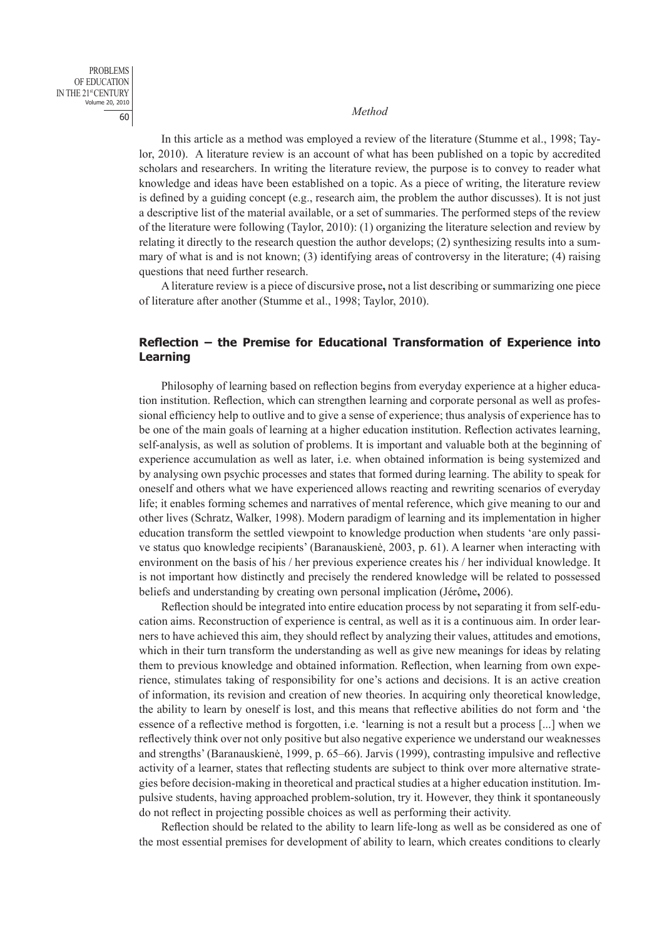# <sup>60</sup> *Method*

PROBLEMS OF EDUCATION IN THE 21st CENTURY Volume 20, 2010

> In this article as a method was employed a review of the literature (Stumme et al., 1998; Taylor, 2010). A literature review is an account of what has been published on a topic by accredited scholars and researchers. In writing the literature review, the purpose is to convey to reader what knowledge and ideas have been established on a topic. As a piece of writing, the literature review is defined by a guiding concept (e.g., research aim, the problem the author discusses). It is not just a descriptive list of the material available, or a set of summaries. The performed steps of the review of the literature were following (Taylor, 2010): (1) organizing the literature selection and review by relating it directly to the research question the author develops; (2) synthesizing results into a summary of what is and is not known; (3) identifying areas of controversy in the literature; (4) raising questions that need further research.

> A literature review is a piece of discursive prose**,** not a list describing or summarizing one piece of literature after another (Stumme et al., 1998; Taylor, 2010).

# **Reflection – the Premise for Educational Transformation of Experience into Learning**

Philosophy of learning based on reflection begins from everyday experience at a higher education institution. Reflection, which can strengthen learning and corporate personal as well as professional efficiency help to outlive and to give a sense of experience; thus analysis of experience has to be one of the main goals of learning at a higher education institution. Reflection activates learning, self-analysis, as well as solution of problems. It is important and valuable both at the beginning of experience accumulation as well as later, i.e. when obtained information is being systemized and by analysing own psychic processes and states that formed during learning. The ability to speak for oneself and others what we have experienced allows reacting and rewriting scenarios of everyday life; it enables forming schemes and narratives of mental reference, which give meaning to our and other lives (Schratz, Walker, 1998). Modern paradigm of learning and its implementation in higher education transform the settled viewpoint to knowledge production when students 'are only passive status quo knowledge recipients' (Baranauskienė, 2003, p. 61). A learner when interacting with environment on the basis of his / her previous experience creates his / her individual knowledge. It is not important how distinctly and precisely the rendered knowledge will be related to possessed beliefs and understanding by creating own personal implication (Jérôme**,** 2006).

Reflection should be integrated into entire education process by not separating it from self-education aims. Reconstruction of experience is central, as well as it is a continuous aim. In order learners to have achieved this aim, they should reflect by analyzing their values, attitudes and emotions, which in their turn transform the understanding as well as give new meanings for ideas by relating them to previous knowledge and obtained information. Reflection, when learning from own experience, stimulates taking of responsibility for one's actions and decisions. It is an active creation of information, its revision and creation of new theories. In acquiring only theoretical knowledge, the ability to learn by oneself is lost, and this means that reflective abilities do not form and 'the essence of a reflective method is forgotten, i.e. 'learning is not a result but a process [...] when we reflectively think over not only positive but also negative experience we understand our weaknesses and strengths' (Baranauskienė, 1999, p. 65–66). Jarvis (1999), contrasting impulsive and reflective activity of a learner, states that reflecting students are subject to think over more alternative strategies before decision-making in theoretical and practical studies at a higher education institution. Impulsive students, having approached problem-solution, try it. However, they think it spontaneously do not reflect in projecting possible choices as well as performing their activity.

Reflection should be related to the ability to learn life-long as well as be considered as one of the most essential premises for development of ability to learn, which creates conditions to clearly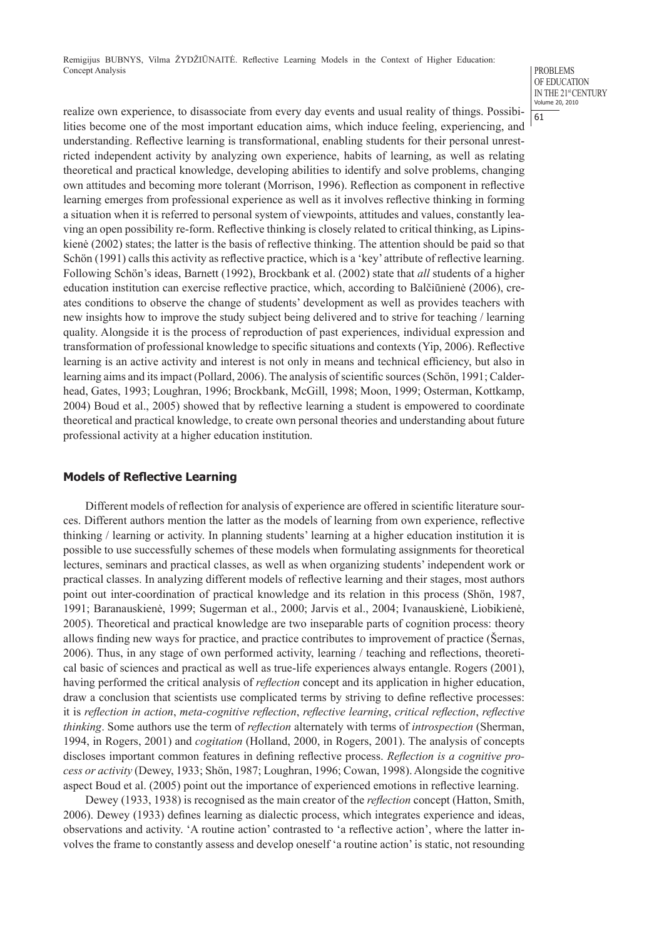#### PROBLEMS OF EDUCATION IN THE 21<sup>st</sup> CENTURY Volume 20, 2010

61

realize own experience, to disassociate from every day events and usual reality of things. Possibilities become one of the most important education aims, which induce feeling, experiencing, and understanding. Reflective learning is transformational, enabling students for their personal unrestricted independent activity by analyzing own experience, habits of learning, as well as relating theoretical and practical knowledge, developing abilities to identify and solve problems, changing own attitudes and becoming more tolerant (Morrison, 1996). Reflection as component in reflective learning emerges from professional experience as well as it involves reflective thinking in forming a situation when it is referred to personal system of viewpoints, attitudes and values, constantly leaving an open possibility re-form. Reflective thinking is closely related to critical thinking, as Lipinskienė (2002) states; the latter is the basis of reflective thinking. The attention should be paid so that Schön (1991) calls this activity as reflective practice, which is a 'key' attribute of reflective learning. Following Schön's ideas, Barnett (1992), Brockbank et al. (2002) state that *all* students of a higher education institution can exercise reflective practice, which, according to Balčiūnienė (2006), creates conditions to observe the change of students' development as well as provides teachers with new insights how to improve the study subject being delivered and to strive for teaching / learning quality. Alongside it is the process of reproduction of past experiences, individual expression and transformation of professional knowledge to specific situations and contexts (Yip, 2006). Reflective learning is an active activity and interest is not only in means and technical efficiency, but also in learning aims and its impact (Pollard, 2006). The analysis of scientific sources (Schön, 1991; Calderhead, Gates, 1993; Loughran, 1996; Brockbank, McGill, 1998; Moon, 1999; Osterman, Kottkamp, 2004) Boud et al., 2005) showed that by reflective learning a student is empowered to coordinate theoretical and practical knowledge, to create own personal theories and understanding about future professional activity at a higher education institution.

## **Models of Reflective Learning**

Different models of reflection for analysis of experience are offered in scientific literature sources. Different authors mention the latter as the models of learning from own experience, reflective thinking / learning or activity. In planning students' learning at a higher education institution it is possible to use successfully schemes of these models when formulating assignments for theoretical lectures, seminars and practical classes, as well as when organizing students' independent work or practical classes. In analyzing different models of reflective learning and their stages, most authors point out inter-coordination of practical knowledge and its relation in this process (Shön, 1987, 1991; Baranauskienė, 1999; Sugerman et al., 2000; Jarvis et al., 2004; Ivanauskienė, Liobikienė, 2005). Theoretical and practical knowledge are two inseparable parts of cognition process: theory allows finding new ways for practice, and practice contributes to improvement of practice (Šernas, 2006). Thus, in any stage of own performed activity, learning / teaching and reflections, theoretical basic of sciences and practical as well as true-life experiences always entangle. Rogers (2001), having performed the critical analysis of *reflection* concept and its application in higher education, draw a conclusion that scientists use complicated terms by striving to define reflective processes: it is *reflection in action*, *meta-cognitive reflection*, *reflective learning*, *critical reflection*, *reflective thinking*. Some authors use the term of *reflection* alternately with terms of *introspection* (Sherman, 1994, in Rogers, 2001) and *cogitation* (Holland, 2000, in Rogers, 2001). The analysis of concepts discloses important common features in defining reflective process. *Reflection is a cognitive process or activity* (Dewey, 1933; Shön, 1987; Loughran, 1996; Cowan, 1998). Alongside the cognitive aspect Boud et al. (2005) point out the importance of experienced emotions in reflective learning.

Dewey (1933, 1938) is recognised as the main creator of the *reflection* concept (Hatton, Smith, 2006). Dewey (1933) defines learning as dialectic process, which integrates experience and ideas, observations and activity. 'A routine action' contrasted to 'a reflective action', where the latter involves the frame to constantly assess and develop oneself 'a routine action' is static, not resounding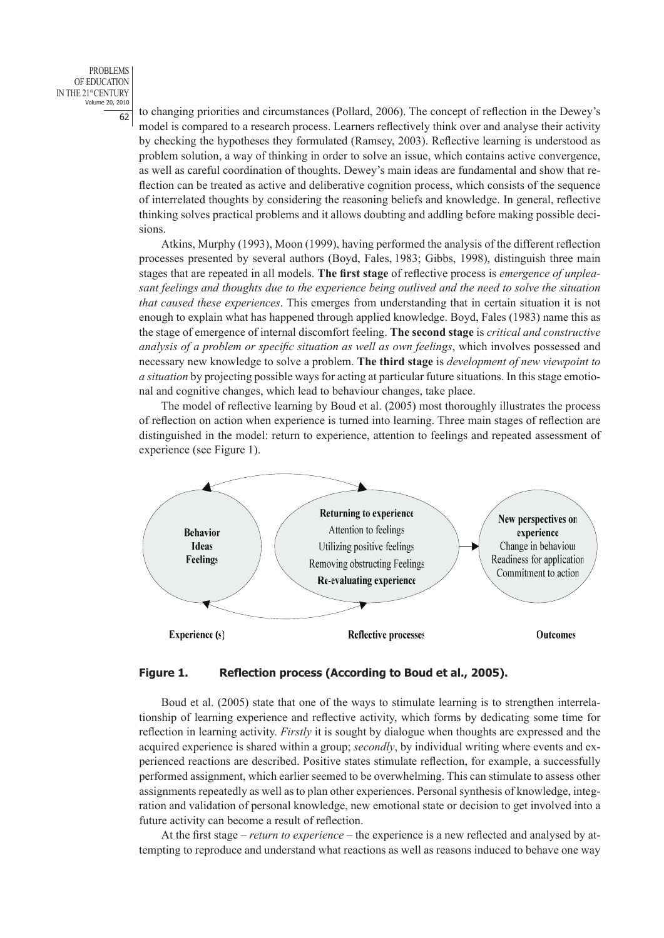PROBLEMS OF EDUCATION IN THE 21st CENTURY Volume 20, 2010

 $\frac{6}{2}$  to changing priorities and circumstances (Pollard, 2006). The concept of reflection in the Dewey's model is compared to a research process. Learners reflectively think over and analyse their activity by checking the hypotheses they formulated (Ramsey, 2003). Reflective learning is understood as problem solution, a way of thinking in order to solve an issue, which contains active convergence, as well as careful coordination of thoughts. Dewey's main ideas are fundamental and show that reflection can be treated as active and deliberative cognition process, which consists of the sequence of interrelated thoughts by considering the reasoning beliefs and knowledge. In general, reflective thinking solves practical problems and it allows doubting and addling before making possible decisions.

Atkins, Murphy (1993), Moon (1999), having performed the analysis of the different reflection processes presented by several authors (Boyd, Fales, 1983; Gibbs, 1998), distinguish three main stages that are repeated in all models. **The first stage** of reflective process is *emergence of unpleasant feelings and thoughts due to the experience being outlived and the need to solve the situation that caused these experiences*. This emerges from understanding that in certain situation it is not enough to explain what has happened through applied knowledge. Boyd, Fales (1983) name this as the stage of emergence of internal discomfort feeling. **The second stage** is *critical and constructive analysis of a problem or specific situation as well as own feelings*, which involves possessed and necessary new knowledge to solve a problem. **The third stage** is *development of new viewpoint to a situation* by projecting possible ways for acting at particular future situations. In this stage emotional and cognitive changes, which lead to behaviour changes, take place.

The model of reflective learning by Boud et al. (2005) most thoroughly illustrates the process of reflection on action when experience is turned into learning. Three main stages of reflection are distinguished in the model: return to experience, attention to feelings and repeated assessment of experience (see Figure 1).



# **Figure 1. Reflection process (According to Boud et al., 2005).**

Boud et al. (2005) state that one of the ways to stimulate learning is to strengthen interrelationship of learning experience and reflective activity, which forms by dedicating some time for reflection in learning activity. *Firstly* it is sought by dialogue when thoughts are expressed and the acquired experience is shared within a group; *secondly*, by individual writing where events and experienced reactions are described. Positive states stimulate reflection, for example, a successfully performed assignment, which earlier seemed to be overwhelming. This can stimulate to assess other assignments repeatedly as well as to plan other experiences. Personal synthesis of knowledge, integration and validation of personal knowledge, new emotional state or decision to get involved into a future activity can become a result of reflection.

At the first stage *– return to experience –* the experience is a new reflected and analysed by attempting to reproduce and understand what reactions as well as reasons induced to behave one way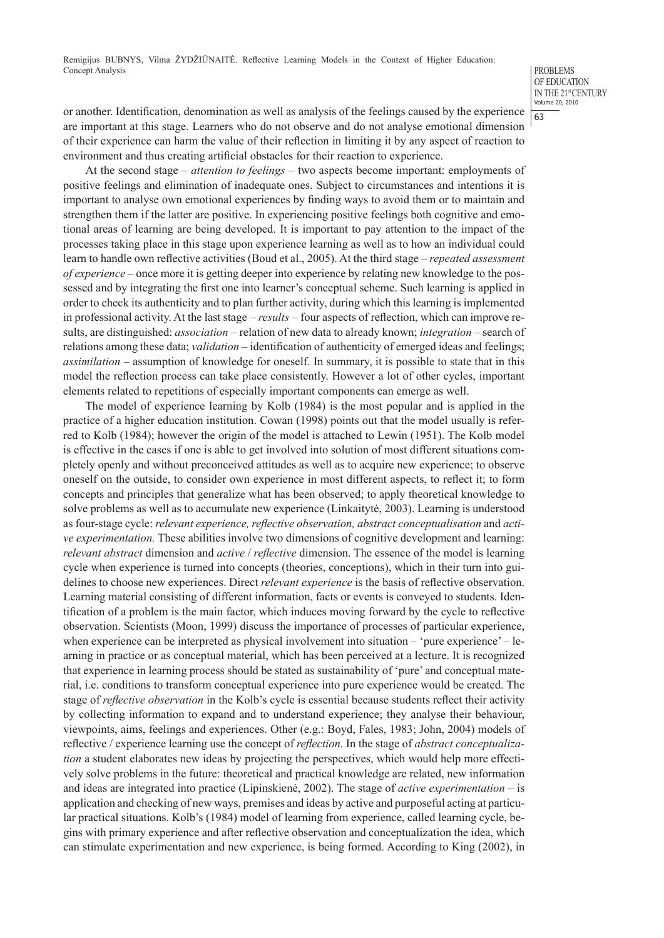PROBLEMS OF EDUCATION IN THE 21<sup>st</sup> CENTURY Volume 20, 2010

63

or another. Identification, denomination as well as analysis of the feelings caused by the experience are important at this stage. Learners who do not observe and do not analyse emotional dimension of their experience can harm the value of their reflection in limiting it by any aspect of reaction to environment and thus creating artificial obstacles for their reaction to experience.

At the second stage – *attention to feelings* – two aspects become important: employments of positive feelings and elimination of inadequate ones. Subject to circumstances and intentions it is important to analyse own emotional experiences by finding ways to avoid them or to maintain and strengthen them if the latter are positive. In experiencing positive feelings both cognitive and emotional areas of learning are being developed. It is important to pay attention to the impact of the processes taking place in this stage upon experience learning as well as to how an individual could learn to handle own reflective activities (Boud et al., 2005). At the third stage – *repeated assessment of experience* – once more it is getting deeper into experience by relating new knowledge to the possessed and by integrating the first one into learner's conceptual scheme. Such learning is applied in order to check its authenticity and to plan further activity, during which this learning is implemented in professional activity. At the last stage – *results* – four aspects of reflection, which can improve results, are distinguished: *association* – relation of new data to already known; *integration* – search of relations among these data; *validation* – identification of authenticity of emerged ideas and feelings; *assimilation* – assumption of knowledge for oneself. In summary, it is possible to state that in this model the reflection process can take place consistently. However a lot of other cycles, important elements related to repetitions of especially important components can emerge as well.

The model of experience learning by Kolb (1984) is the most popular and is applied in the practice of a higher education institution. Cowan (1998) points out that the model usually is referred to Kolb (1984); however the origin of the model is attached to Lewin (1951). The Kolb model is effective in the cases if one is able to get involved into solution of most different situations completely openly and without preconceived attitudes as well as to acquire new experience; to observe oneself on the outside, to consider own experience in most different aspects, to reflect it; to form concepts and principles that generalize what has been observed; to apply theoretical knowledge to solve problems as well as to accumulate new experience (Linkaitytė, 2003). Learning is understood as four-stage cycle: *relevant experience, reflective observation, abstract conceptualisation* and *active experimentation.* These abilities involve two dimensions of cognitive development and learning: *relevant abstract* dimension and *active* / *reflective* dimension. The essence of the model is learning cycle when experience is turned into concepts (theories, conceptions), which in their turn into guidelines to choose new experiences. Direct *relevant experience* is the basis of reflective observation. Learning material consisting of different information, facts or events is conveyed to students. Identification of a problem is the main factor, which induces moving forward by the cycle to reflective observation. Scientists (Moon, 1999) discuss the importance of processes of particular experience, when experience can be interpreted as physical involvement into situation – 'pure experience' – learning in practice or as conceptual material, which has been perceived at a lecture. It is recognized that experience in learning process should be stated as sustainability of 'pure' and conceptual material, i.e. conditions to transform conceptual experience into pure experience would be created. The stage of *reflective observation* in the Kolb's cycle is essential because students reflect their activity by collecting information to expand and to understand experience; they analyse their behaviour, viewpoints, aims, feelings and experiences. Other (e.g.: Boyd, Fales, 1983; John, 2004) models of reflective / experience learning use the concept of *reflection.* In the stage of *abstract conceptualization* a student elaborates new ideas by projecting the perspectives, which would help more effectively solve problems in the future: theoretical and practical knowledge are related, new information and ideas are integrated into practice (Lipinskienė, 2002). The stage of *active experimentation* – is application and checking of new ways, premises and ideas by active and purposeful acting at particular practical situations. Kolb's (1984) model of learning from experience, called learning cycle, begins with primary experience and after reflective observation and conceptualization the idea, which can stimulate experimentation and new experience, is being formed. According to King (2002), in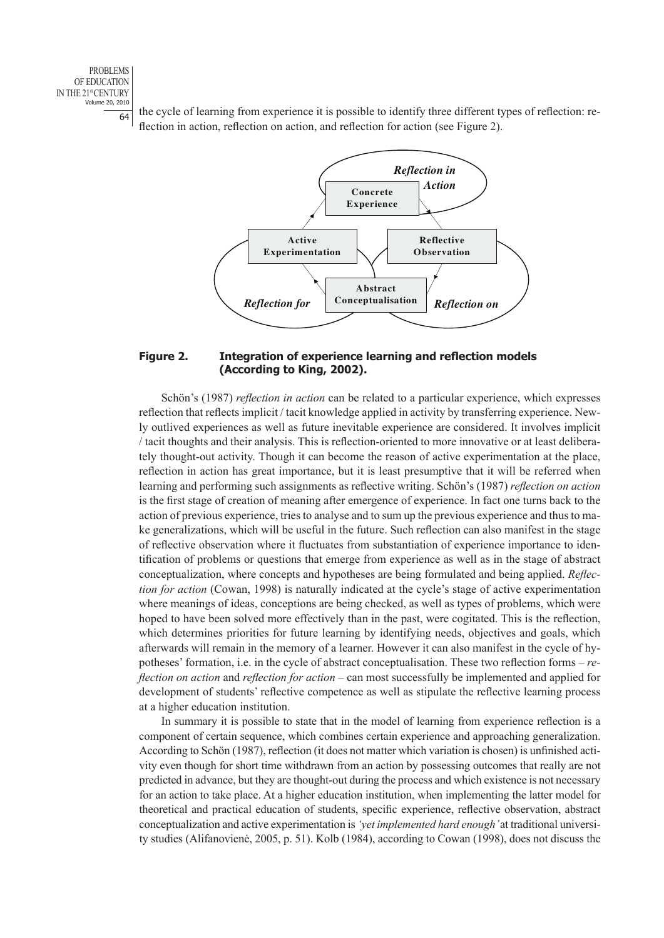PROBLEMS OF EDUCATION IN THE 21st CENTURY Volume 20, 2010

 $\frac{64}{64}$  the cycle of learning from experience it is possible to identify three different types of reflection: reflection in action, reflection on action, and reflection for action (see Figure 2).



## **Figure 2. Integration of experience learning and reflection models (According to King, 2002).**

Schön's (1987) *reflection in action* can be related to a particular experience, which expresses reflection that reflects implicit / tacit knowledge applied in activity by transferring experience. Newly outlived experiences as well as future inevitable experience are considered. It involves implicit / tacit thoughts and their analysis. This is reflection-oriented to more innovative or at least deliberately thought-out activity. Though it can become the reason of active experimentation at the place, reflection in action has great importance, but it is least presumptive that it will be referred when learning and performing such assignments as reflective writing. Schön's (1987) *reflection on action* is the first stage of creation of meaning after emergence of experience. In fact one turns back to the action of previous experience, tries to analyse and to sum up the previous experience and thus to make generalizations, which will be useful in the future. Such reflection can also manifest in the stage of reflective observation where it fluctuates from substantiation of experience importance to identification of problems or questions that emerge from experience as well as in the stage of abstract conceptualization, where concepts and hypotheses are being formulated and being applied. *Reflection for action* (Cowan, 1998) is naturally indicated at the cycle's stage of active experimentation where meanings of ideas, conceptions are being checked, as well as types of problems, which were hoped to have been solved more effectively than in the past, were cogitated. This is the reflection, which determines priorities for future learning by identifying needs, objectives and goals, which afterwards will remain in the memory of a learner. However it can also manifest in the cycle of hypotheses' formation, i.e. in the cycle of abstract conceptualisation. These two reflection forms – *reflection on action* and *reflection for action* – can most successfully be implemented and applied for development of students' reflective competence as well as stipulate the reflective learning process at a higher education institution.

In summary it is possible to state that in the model of learning from experience reflection is a component of certain sequence, which combines certain experience and approaching generalization. According to Schön (1987), reflection (it does not matter which variation is chosen) is unfinished activity even though for short time withdrawn from an action by possessing outcomes that really are not predicted in advance, but they are thought-out during the process and which existence is not necessary for an action to take place. At a higher education institution, when implementing the latter model for theoretical and practical education of students, specific experience, reflective observation, abstract conceptualization and active experimentation is *'yet implemented hard enough'* at traditional university studies (Alifanovienė, 2005, p. 51). Kolb (1984), according to Cowan (1998), does not discuss the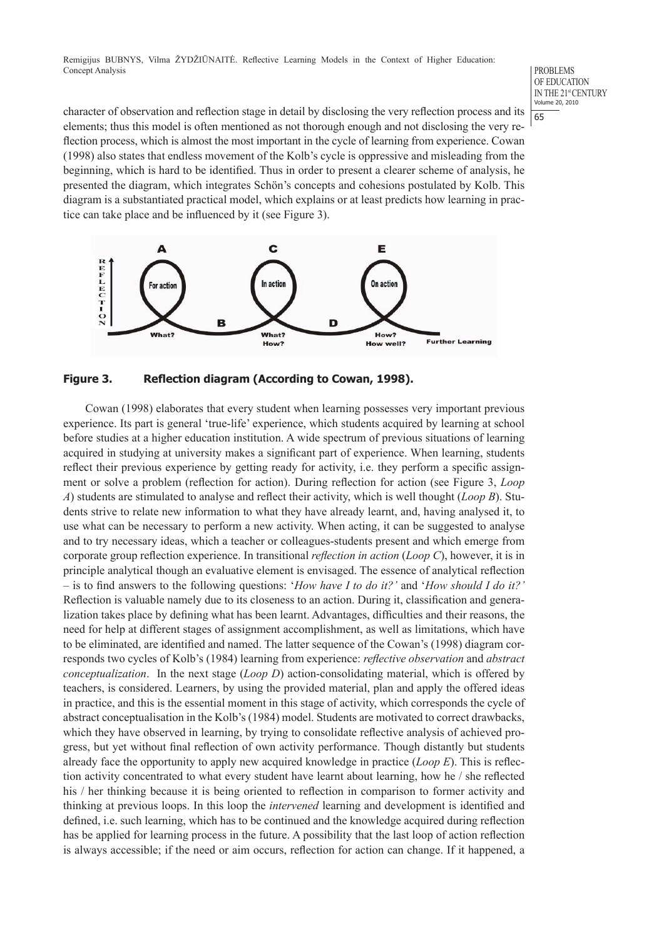#### PROBLEMS OF EDUCATION IN THE 21<sup>st</sup> CENTURY Volume 20, 2010 65

character of observation and reflection stage in detail by disclosing the very reflection process and its elements; thus this model is often mentioned as not thorough enough and not disclosing the very reflection process, which is almost the most important in the cycle of learning from experience. Cowan (1998) also states that endless movement of the Kolb's cycle is oppressive and misleading from the beginning, which is hard to be identified. Thus in order to present a clearer scheme of analysis, he presented the diagram, which integrates Schön's concepts and cohesions postulated by Kolb. This diagram is a substantiated practical model, which explains or at least predicts how learning in practice can take place and be influenced by it (see Figure 3).



**Figure 3. Reflection diagram (According to Cowan, 1998).**

Cowan (1998) elaborates that every student when learning possesses very important previous experience. Its part is general 'true-life' experience, which students acquired by learning at school before studies at a higher education institution. A wide spectrum of previous situations of learning acquired in studying at university makes a significant part of experience. When learning, students reflect their previous experience by getting ready for activity, i.e. they perform a specific assignment or solve a problem (reflection for action). During reflection for action (see Figure 3, *Loop A*) students are stimulated to analyse and reflect their activity, which is well thought (*Loop B*). Students strive to relate new information to what they have already learnt, and, having analysed it, to use what can be necessary to perform a new activity. When acting, it can be suggested to analyse and to try necessary ideas, which a teacher or colleagues-students present and which emerge from corporate group reflection experience. In transitional *reflection in action* (*Loop C*), however, it is in principle analytical though an evaluative element is envisaged. The essence of analytical reflection – is to find answers to the following questions: '*How have I to do it?'* and '*How should I do it?'* Reflection is valuable namely due to its closeness to an action. During it, classification and generalization takes place by defining what has been learnt. Advantages, difficulties and their reasons, the need for help at different stages of assignment accomplishment, as well as limitations, which have to be eliminated, are identified and named. The latter sequence of the Cowan's (1998) diagram corresponds two cycles of Kolb's (1984) learning from experience: *reflective observation* and *abstract conceptualization*. In the next stage (*Loop D*) action-consolidating material, which is offered by teachers, is considered. Learners, by using the provided material, plan and apply the offered ideas in practice, and this is the essential moment in this stage of activity, which corresponds the cycle of abstract conceptualisation in the Kolb's (1984) model. Students are motivated to correct drawbacks, which they have observed in learning, by trying to consolidate reflective analysis of achieved progress, but yet without final reflection of own activity performance. Though distantly but students already face the opportunity to apply new acquired knowledge in practice (*Loop E*). This is reflection activity concentrated to what every student have learnt about learning, how he / she reflected his / her thinking because it is being oriented to reflection in comparison to former activity and thinking at previous loops. In this loop the *intervened* learning and development is identified and defined, i.e. such learning, which has to be continued and the knowledge acquired during reflection has be applied for learning process in the future. A possibility that the last loop of action reflection is always accessible; if the need or aim occurs, reflection for action can change. If it happened, a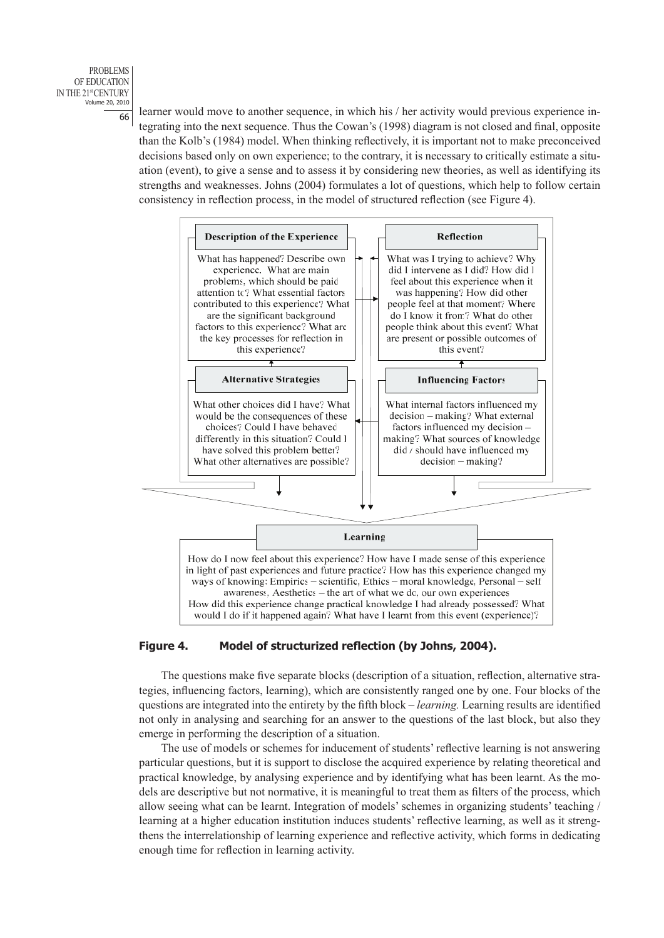

 $\frac{66}{66}$  learner would move to another sequence, in which his / her activity would previous experience integrating into the next sequence. Thus the Cowan's (1998) diagram is not closed and final, opposite than the Kolb's (1984) model. When thinking reflectively, it is important not to make preconceived decisions based only on own experience; to the contrary, it is necessary to critically estimate a situation (event), to give a sense and to assess it by considering new theories, as well as identifying its strengths and weaknesses. Johns (2004) formulates a lot of questions, which help to follow certain consistency in reflection process, in the model of structured reflection (see Figure 4).



# **Figure 4. Model of structurized reflection (by Johns, 2004).**

The questions make five separate blocks (description of a situation, reflection, alternative strategies, influencing factors, learning), which are consistently ranged one by one. Four blocks of the questions are integrated into the entirety by the fifth block – *learning.* Learning results are identified not only in analysing and searching for an answer to the questions of the last block, but also they emerge in performing the description of a situation.

The use of models or schemes for inducement of students' reflective learning is not answering particular questions, but it is support to disclose the acquired experience by relating theoretical and practical knowledge, by analysing experience and by identifying what has been learnt. As the models are descriptive but not normative, it is meaningful to treat them as filters of the process, which allow seeing what can be learnt. Integration of models' schemes in organizing students' teaching / learning at a higher education institution induces students' reflective learning, as well as it strengthens the interrelationship of learning experience and reflective activity, which forms in dedicating enough time for reflection in learning activity.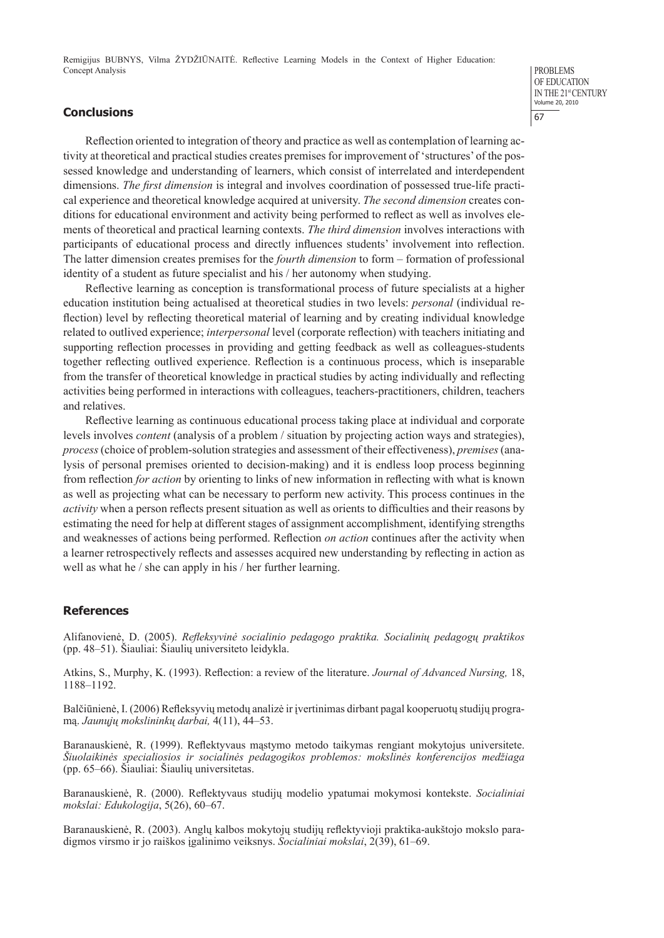## **Conclusions**

PROBLEMS OF EDUCATION IN THE 21<sup>st</sup> CENTURY Volume 20, 2010 67

Reflection oriented to integration of theory and practice as well as contemplation of learning activity at theoretical and practical studies creates premises for improvement of 'structures' of the possessed knowledge and understanding of learners, which consist of interrelated and interdependent dimensions. *The first dimension* is integral and involves coordination of possessed true-life practical experience and theoretical knowledge acquired at university. *The second dimension* creates conditions for educational environment and activity being performed to reflect as well as involves elements of theoretical and practical learning contexts. *The third dimension* involves interactions with participants of educational process and directly influences students' involvement into reflection. The latter dimension creates premises for the *fourth dimension* to form – formation of professional identity of a student as future specialist and his / her autonomy when studying.

Reflective learning as conception is transformational process of future specialists at a higher education institution being actualised at theoretical studies in two levels: *personal* (individual reflection) level by reflecting theoretical material of learning and by creating individual knowledge related to outlived experience; *interpersonal* level (corporate reflection) with teachers initiating and supporting reflection processes in providing and getting feedback as well as colleagues-students together reflecting outlived experience. Reflection is a continuous process, which is inseparable from the transfer of theoretical knowledge in practical studies by acting individually and reflecting activities being performed in interactions with colleagues, teachers-practitioners, children, teachers and relatives.

Reflective learning as continuous educational process taking place at individual and corporate levels involves *content* (analysis of a problem / situation by projecting action ways and strategies), *process* (choice of problem-solution strategies and assessment of their effectiveness), *premises* (analysis of personal premises oriented to decision-making) and it is endless loop process beginning from reflection *for action* by orienting to links of new information in reflecting with what is known as well as projecting what can be necessary to perform new activity. This process continues in the *activity* when a person reflects present situation as well as orients to difficulties and their reasons by estimating the need for help at different stages of assignment accomplishment, identifying strengths and weaknesses of actions being performed. Reflection *on action* continues after the activity when a learner retrospectively reflects and assesses acquired new understanding by reflecting in action as well as what he / she can apply in his / her further learning.

## **References**

Alifanovienė, D. (2005). *Refleksyvinė socialinio pedagogo praktika. Socialinių pedagogų praktikos* (pp. 48–51). Šiauliai: Šiaulių universiteto leidykla.

Atkins, S., Murphy, K. (1993). Reflection: a review of the literature. *Journal of Advanced Nursing,* 18, 1188–1192.

Balčiūnienė, I. (2006) Refleksyvių metodų analizė ir įvertinimas dirbant pagal kooperuotų studijų programą. *Jaunųjų mokslininkų darbai,* 4(11), 44–53.

Baranauskienė, R. (1999). Reflektyvaus mąstymo metodo taikymas rengiant mokytojus universitete. *Šiuolaikinės specialiosios ir socialinės pedagogikos problemos: mokslinės konferencijos medžiaga* (pp. 65–66). Šiauliai: Šiaulių universitetas.

Baranauskienė, R. (2000). Reflektyvaus studijų modelio ypatumai mokymosi kontekste. *Socialiniai mokslai: Edukologija*, 5(26), 60–67.

Baranauskienė, R. (2003). Anglų kalbos mokytojų studijų reflektyvioji praktika-aukštojo mokslo paradigmos virsmo ir jo raiškos įgalinimo veiksnys. *Socialiniai mokslai*, 2(39), 61–69.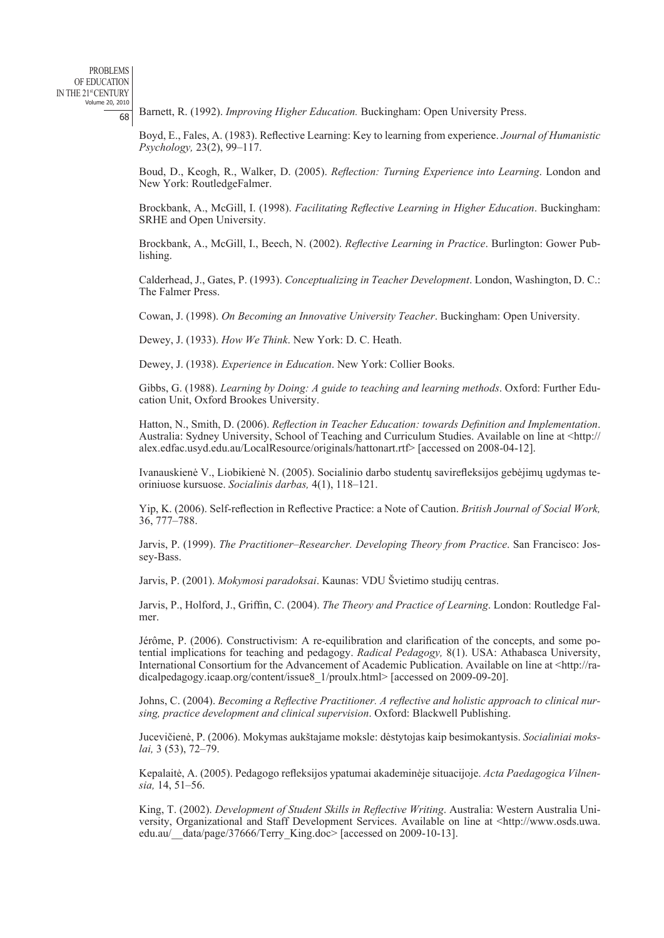<sup>68</sup> Barnett, R. (1992). *Improving Higher Education.* Buckingham: Open University Press.

Boyd, E., Fales, A. (1983). Reflective Learning: Key to learning from experience. *Journal of Humanistic Psychology,* 23(2), 99–117.

Boud, D., Keogh, R., Walker, D. (2005). *Reflection: Turning Experience into Learning*. London and New York: RoutledgeFalmer.

Brockbank, A., McGill, I. (1998). *Facilitating Reflective Learning in Higher Education*. Buckingham: SRHE and Open University.

Brockbank, A., McGill, I., Beech, N. (2002). *Reflective Learning in Practice*. Burlington: Gower Publishing.

Calderhead, J., Gates, P. (1993). *Conceptualizing in Teacher Development*. London, Washington, D. C.: The Falmer Press.

Cowan, J. (1998). *On Becoming an Innovative University Teacher*. Buckingham: Open University.

Dewey, J. (1933). *How We Think*. New York: D. C. Heath.

Dewey, J. (1938). *Experience in Education*. New York: Collier Books.

Gibbs, G. (1988). *Learning by Doing: A guide to teaching and learning methods*. Oxford: Further Education Unit, Oxford Brookes University.

Hatton, N., Smith, D. (2006). *Reflection in Teacher Education: towards Definition and Implementation*. Australia: Sydney University, School of Teaching and Curriculum Studies. Available on line at <http:// alex.edfac.usyd.edu.au/LocalResource/originals/hattonart.rtf> [accessed on 2008-04-12].

Ivanauskienė V., Liobikienė N. (2005). Socialinio darbo studentų savirefleksijos gebėjimų ugdymas teoriniuose kursuose. *Socialinis darbas,* 4(1), 118–121.

Yip, K. (2006). Self-reflection in Reflective Practice: a Note of Caution. *British Journal of Social Work,*  36, 777–788.

Jarvis, P. (1999). *The Practitioner–Researcher. Developing Theory from Practice*. San Francisco: Jossey-Bass.

Jarvis, P. (2001). *Mokymosi paradoksai*. Kaunas: VDU Švietimo studijų centras.

Jarvis, P., Holford, J., Griffin, C. (2004). *The Theory and Practice of Learning*. London: Routledge Falmer.

Jérôme, P. (2006). Constructivism: A re-equilibration and clarification of the concepts, and some potential implications for teaching and pedagogy. *Radical Pedagogy,* 8(1). USA: Athabasca University, International Consortium for the Advancement of Academic Publication. Available on line at <http://radicalpedagogy.icaap.org/content/issue8\_1/proulx.html> [accessed on 2009-09-20].

Johns, C. (2004). *Becoming a Reflective Practitioner. A reflective and holistic approach to clinical nursing, practice development and clinical supervision*. Oxford: Blackwell Publishing.

Jucevičienė, P. (2006). Mokymas aukštajame moksle: dėstytojas kaip besimokantysis. *Socialiniai mokslai,* 3 (53), 72–79.

Kepalaitė, A. (2005). Pedagogo refleksijos ypatumai akademinėje situacijoje. *Acta Paedagogica Vilnensia,* 14, 51–56.

King, T. (2002). *Development of Student Skills in Reflective Writing*. Australia: Western Australia University, Organizational and Staff Development Services. Available on line at <http://www.osds.uwa. edu.au/\_\_data/page/37666/Terry\_King.doc> [accessed on 2009-10-13].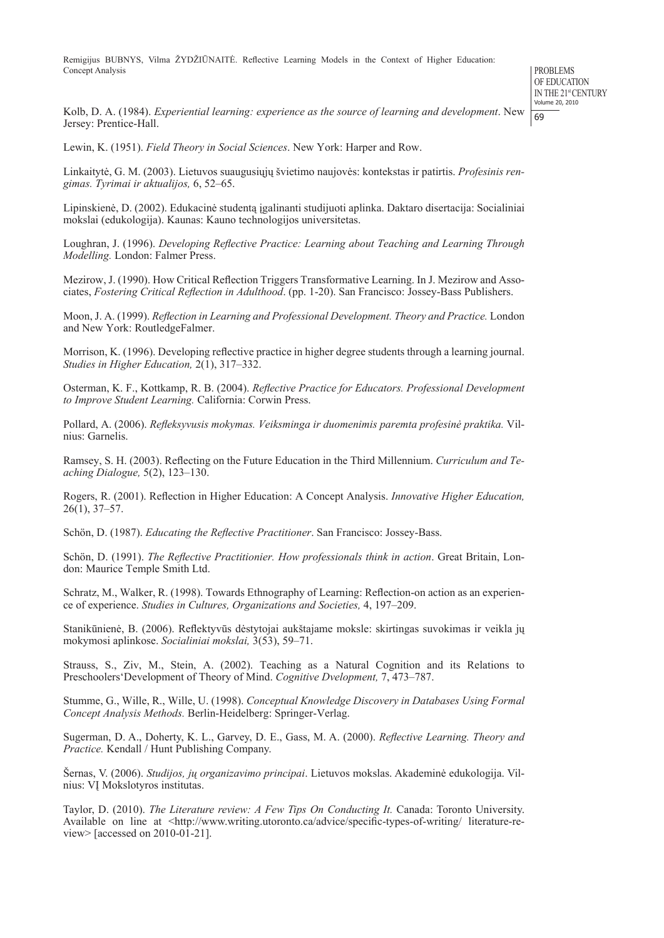PROBLEMS OF EDUCATION IN THE 21st CENTURY Volume 20, 2010 69

Kolb, D. A. (1984). *Experiential learning: experience as the source of learning and development*. New Jersey: Prentice-Hall.

Lewin, K. (1951). *Field Theory in Social Sciences*. New York: Harper and Row.

Linkaitytė, G. M. (2003). Lietuvos suaugusiųjų švietimo naujovės: kontekstas ir patirtis. *Profesinis rengimas. Tyrimai ir aktualijos,* 6, 52–65.

Lipinskienė, D. (2002). Edukacinė studentą įgalinanti studijuoti aplinka. Daktaro disertacija: Socialiniai mokslai (edukologija). Kaunas: Kauno technologijos universitetas.

Loughran, J. (1996). *Developing Reflective Practice: Learning about Teaching and Learning Through Modelling.* London: Falmer Press.

Mezirow, J. (1990). How Critical Reflection Triggers Transformative Learning. In J. Mezirow and Associates, *Fostering Critical Reflection in Adulthood*. (pp. 1-20). San Francisco: Jossey-Bass Publishers.

Moon, J. A. (1999). *Reflection in Learning and Professional Development. Theory and Practice.* London and New York: RoutledgeFalmer.

Morrison, K. (1996). Developing reflective practice in higher degree students through a learning journal. *Studies in Higher Education,* 2(1), 317–332.

Osterman, K. F., Kottkamp, R. B. (2004). *Reflective Practice for Educators. Professional Development to Improve Student Learning.* California: Corwin Press.

Pollard, A. (2006). *Refleksyvusis mokymas. Veiksminga ir duomenimis paremta profesinė praktika.* Vilnius: Garnelis.

Ramsey, S. H. (2003). Reflecting on the Future Education in the Third Millennium. *Curriculum and Teaching Dialogue,* 5(2), 123–130.

Rogers, R. (2001). Reflection in Higher Education: A Concept Analysis. *Innovative Higher Education,*   $26(1)$ ,  $37-57$ .

Schön, D. (1987). *Educating the Reflective Practitioner*. San Francisco: Jossey-Bass.

Schön, D. (1991). *The Reflective Practitionier. How professionals think in action*. Great Britain, London: Maurice Temple Smith Ltd.

Schratz, M., Walker, R. (1998). Towards Ethnography of Learning: Reflection-on action as an experience of experience. *Studies in Cultures, Organizations and Societies,* 4, 197–209.

Stanikūnienė, B. (2006). Reflektyvūs dėstytojai aukštajame moksle: skirtingas suvokimas ir veikla jų mokymosi aplinkose. *Socialiniai mokslai,* 3(53), 59–71.

Strauss, S., Ziv, M., Stein, A. (2002). Teaching as a Natural Cognition and its Relations to Preschoolers'Development of Theory of Mind. *Cognitive Dvelopment,* 7, 473–787.

Stumme, G., Wille, R., Wille, U. (1998). *Conceptual Knowledge Discovery in Databases Using Formal Concept Analysis Methods.* Berlin-Heidelberg: Springer-Verlag.

Sugerman, D. A., Doherty, K. L., Garvey, D. E., Gass, M. A. (2000). *Reflective Learning. Theory and Practice.* Kendall / Hunt Publishing Company.

Šernas, V. (2006). *Studijos, jų organizavimo principai*. Lietuvos mokslas. Akademinė edukologija. Vilnius: VĮ Mokslotyros institutas.

Taylor, D. (2010). *The Literature review: A Few Tips On Conducting It.* Canada: Toronto University. Available on line at <http://www.writing.utoronto.ca/advice/specific-types-of-writing/ literature-review> [accessed on 2010-01-21].